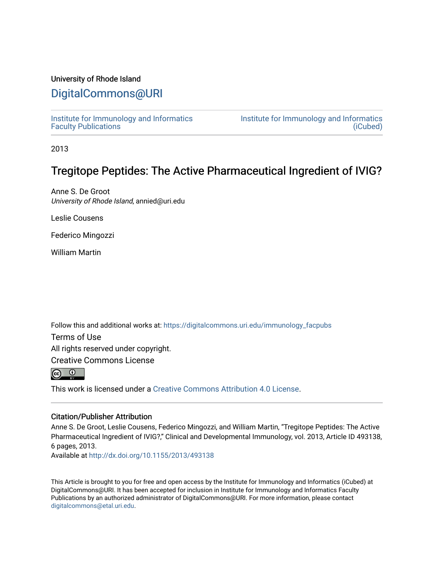### University of Rhode Island

## [DigitalCommons@URI](https://digitalcommons.uri.edu/)

[Institute for Immunology and Informatics](https://digitalcommons.uri.edu/immunology_facpubs) [Faculty Publications](https://digitalcommons.uri.edu/immunology_facpubs)

[Institute for Immunology and Informatics](https://digitalcommons.uri.edu/immunology)  [\(iCubed\)](https://digitalcommons.uri.edu/immunology) 

2013

# Tregitope Peptides: The Active Pharmaceutical Ingredient of IVIG?

Anne S. De Groot University of Rhode Island, annied@uri.edu

Leslie Cousens

Federico Mingozzi

William Martin

Follow this and additional works at: [https://digitalcommons.uri.edu/immunology\\_facpubs](https://digitalcommons.uri.edu/immunology_facpubs?utm_source=digitalcommons.uri.edu%2Fimmunology_facpubs%2F13&utm_medium=PDF&utm_campaign=PDFCoverPages)

Terms of Use

All rights reserved under copyright.

Creative Commons License



This work is licensed under a [Creative Commons Attribution 4.0 License](https://creativecommons.org/licenses/by/4.0/).

### Citation/Publisher Attribution

Anne S. De Groot, Leslie Cousens, Federico Mingozzi, and William Martin, "Tregitope Peptides: The Active Pharmaceutical Ingredient of IVIG?," Clinical and Developmental Immunology, vol. 2013, Article ID 493138, 6 pages, 2013.

Available at <http://dx.doi.org/10.1155/2013/493138>

This Article is brought to you for free and open access by the Institute for Immunology and Informatics (iCubed) at DigitalCommons@URI. It has been accepted for inclusion in Institute for Immunology and Informatics Faculty Publications by an authorized administrator of DigitalCommons@URI. For more information, please contact [digitalcommons@etal.uri.edu](mailto:digitalcommons@etal.uri.edu).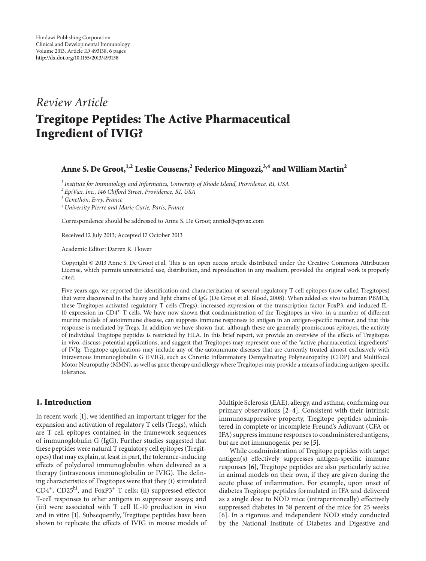### *Review Article*

# **Tregitope Peptides: The Active Pharmaceutical Ingredient of IVIG?**

## **Anne S. De Groot,1,2 Leslie Cousens,2 Federico Mingozzi,3,4 and William Martin2**

*<sup>1</sup> Institute for Immunology and Informatics, University of Rhode Island, Providence, RI, USA*

*<sup>2</sup> EpiVax, Inc., 146 Clifford Street, Providence, RI, USA*

*3Genethon, Evry, France*

*<sup>4</sup> University Pierre and Marie Curie, Paris, France*

Correspondence should be addressed to Anne S. De Groot; annied@epivax.com

Received 12 July 2013; Accepted 17 October 2013

Academic Editor: Darren R. Flower

Copyright © 2013 Anne S. De Groot et al. This is an open access article distributed under the Creative Commons Attribution License, which permits unrestricted use, distribution, and reproduction in any medium, provided the original work is properly cited.

Five years ago, we reported the identification and characterization of several regulatory T-cell epitopes (now called Tregitopes) that were discovered in the heavy and light chains of IgG (De Groot et al. Blood, 2008). When added ex vivo to human PBMCs, these Tregitopes activated regulatory T cells (Tregs), increased expression of the transcription factor FoxP3, and induced IL-10 expression in CD4<sup>+</sup> T cells. We have now shown that coadministration of the Tregitopes in vivo, in a number of different murine models of autoimmune disease, can suppress immune responses to antigen in an antigen-specific manner, and that this response is mediated by Tregs. In addition we have shown that, although these are generally promiscuous epitopes, the activity of individual Tregitope peptides is restricted by HLA. In this brief report, we provide an overview of the effects of Tregitopes in vivo, discuss potential applications, and suggest that Tregitopes may represent one of the "active pharmaceutical ingredients" of IVIg. Tregitope applications may include any of the autoimmune diseases that are currently treated almost exclusively with intravenous immunoglobulin G (IVIG), such as Chronic Inflammatory Demyelinating Polyneuropathy (CIDP) and Multifocal Motor Neuropathy (MMN), as well as gene therapy and allergy where Tregitopes may provide a means of inducing antigen-specific tolerance.

#### **1. Introduction**

In recent work [\[1](#page-5-1)], we identified an important trigger for the expansion and activation of regulatory T cells (Tregs), which are T cell epitopes contained in the framework sequences of immunoglobulin G (IgG). Further studies suggested that these peptides were natural T regulatory cell epitopes (Tregitopes) that may explain, at least in part, the tolerance-inducing effects of polyclonal immunoglobulin when delivered as a therapy (intravenous immunoglobulin or IVIG). The defining characteristics of Tregitopes were that they (i) stimulated CD4<sup>+</sup>, CD25hi, and FoxP3<sup>+</sup> T cells; (ii) suppressed effector T-cell responses to other antigens in suppressor assays; and (iii) were associated with T cell IL-10 production in vivo and in vitro [\[1\]](#page-5-1). Subsequently, Tregitope peptides have been shown to replicate the effects of IVIG in mouse models of Multiple Sclerosis (EAE), allergy, and asthma, confirming our primary observations [\[2](#page-5-2)[–4\]](#page-5-3). Consistent with their intrinsic immunosuppressive property, Tregitope peptides administered in complete or incomplete Freund's Adjuvant (CFA or IFA) suppress immune responses to coadministered antigens, but are not immunogenic per se [\[5\]](#page-5-4).

While coadministration of Tregitope peptides with target antigen(s) effectively suppresses antigen-specific immune responses [\[6](#page-5-5)], Tregitope peptides are also particularly active in animal models on their own, if they are given during the acute phase of inflammation. For example, upon onset of diabetes Tregitope peptides formulated in IFA and delivered as a single dose to NOD mice (intraperitoneally) effectively suppressed diabetes in 58 percent of the mice for 25 weeks [\[6\]](#page-5-5). In a rigorous and independent NOD study conducted by the National Institute of Diabetes and Digestive and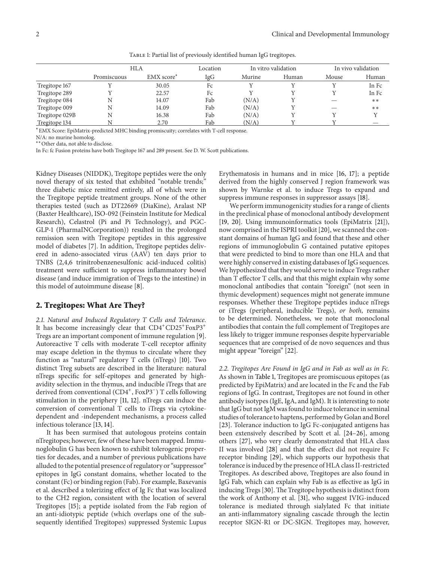|                | <b>HLA</b>  |                        | Location | In vitro validation |       | In vivo validation |       |
|----------------|-------------|------------------------|----------|---------------------|-------|--------------------|-------|
|                | Promiscuous | EMX score <sup>*</sup> | IgG      | Murine              | Human | Mouse              | Human |
| Tregitope 167  |             | 30.05                  | Fc       |                     |       |                    | In Fc |
| Tregitope 289  |             | 22.57                  | Fc       |                     |       |                    | In Fc |
| Tregitope 084  | N           | 14.07                  | Fab      | (N/A)               |       |                    | $***$ |
| Tregitope 009  | N           | 14.09                  | Fab      | (N/A)               |       |                    | **    |
| Tregitope 029B | N           | 16.38                  | Fab      | (N/A)               |       |                    |       |
| Tregitope 134  |             | 2.70                   | Fab      | (N/A)               |       |                    |       |

<span id="page-2-0"></span>TABLE 1: Partial list of previously identified human IgG tregitopes.

<sup>∗</sup>EMX Score: EpiMatrix-predicted MHC binding promiscuity; correlates with T-cell response.

N/A: no murine homolog.

∗∗Other data, not able to disclose.

In Fc: fc Fusion proteins have both Tregitope 167 and 289 present. See D. W. Scott publications.

Kidney Diseases (NIDDK), Tregitope peptides were the only novel therapy of six tested that exhibited "notable trends;" three diabetic mice remitted entirely, all of which were in the Tregitope peptide treatment groups. None of the other therapies tested (such as DT22669 (DiaKine), Aralast NP (Baxter Healthcare), ISO-092 (Feinstein Institute for Medical Research), Celastrol (Pi and Pi Technology), and PGC-GLP-1 (PharmaINCorporation)) resulted in the prolonged remission seen with Tregitope peptides in this aggressive model of diabetes [\[7\]](#page-5-6). In addition, Tregitope peptides delivered in adeno-associated virus (AAV) ten days prior to TNBS (2,4,6 trinitrobenzenesulfonic acid-induced colitis) treatment were sufficient to suppress inflammatory bowel disease (and induce immigration of Tregs to the intestine) in this model of autoimmune disease [\[8](#page-5-7)].

#### **2. Tregitopes: What Are They?**

*2.1. Natural and Induced Regulatory T Cells and Tolerance.* It has become increasingly clear that  $CD4^+CD25^+$ FoxP3<sup>+</sup> Tregs are an important component of immune regulation [\[9\]](#page-5-8). Autoreactive T cells with moderate T-cell receptor affinity may escape deletion in the thymus to circulate where they function as "natural" regulatory T cells (nTregs) [\[10\]](#page-5-9). Two distinct Treg subsets are described in the literature: natural nTregs specific for self-epitopes and generated by highavidity selection in the thymus, and inducible iTregs that are derived from conventional (CD4<sup>+</sup>, FoxP3<sup>−</sup>) T cells following stimulation in the periphery [\[11,](#page-5-10) [12](#page-5-11)]. nTregs can induce the conversion of conventional T cells to iTregs via cytokinedependent and -independent mechanisms, a process called infectious tolerance [\[13](#page-5-12), [14\]](#page-5-13).

It has been surmised that autologous proteins contain nTregitopes; however, few of these have been mapped. Immunoglobulin G has been known to exhibit tolerogenic properties for decades, and a number of previous publications have alluded to the potential presence of regulatory or "suppressor" epitopes in IgG constant domains, whether located to the constant (Fc) or binding region (Fab). For example, Baxevanis et al. described a tolerizing effect of Ig Fc that was localized to the CH2 region, consistent with the location of several Tregitopes [\[15](#page-5-14)]; a peptide isolated from the Fab region of an anti-idiotypic peptide (which overlaps one of the subsequently identified Tregitopes) suppressed Systemic Lupus Erythematosis in humans and in mice [\[16,](#page-5-15) [17](#page-5-16)]; a peptide derived from the highly conserved J region framework was shown by Warnke et al. to induce Tregs to expand and suppress immune responses in suppressor assays [\[18](#page-5-17)].

We perform immunogenicity studies for a range of clients in the preclinical phase of monoclonal antibody development [\[19](#page-5-18), [20](#page-5-19)]. Using immunoinformatics tools (EpiMatrix [\[21\]](#page-5-20)), now comprised in the ISPRI toolkit [\[20\]](#page-5-19), we scanned the constant domains of human IgG and found that these and other regions of immunoglobulin G contained putative epitopes that were predicted to bind to more than one HLA and that were highly conserved in existing databases of IgG sequences. We hypothesized that they would serve to induce Tregs rather than T effector T cells, and that this might explain why some monoclonal antibodies that contain "foreign" (not seen in thymic development) sequences might not generate immune responses. Whether these Tregitope peptides induce nTregs or iTregs (peripheral, inducible Tregs), *or both*, remains to be determined. Nonetheless, we note that monoclonal antibodies that contain the full complement of Tregitopes are less likely to trigger immune responses despite hypervariable sequences that are comprised of de novo sequences and thus might appear "foreign" [\[22](#page-5-21)].

*2.2. Tregitopes Are Found in IgG and in Fab as well as in Fc.* As shown in [Table 1,](#page-2-0) Tregitopes are promiscuous epitopes (as predicted by EpiMatrix) and are located in the Fc and the Fab regions of IgG. In contrast, Tregitopes are not found in other antibody isotypes (IgE, IgA, and IgM). It is interesting to note that IgG but not IgM was found to induce tolerance in seminal studies of tolerance to haptens, performed by Golan and Borel [\[23](#page-5-22)]. Tolerance induction to IgG Fc-conjugated antigens has been extensively described by Scott et al. [\[24](#page-5-23)[–26\]](#page-5-24), among others [\[27\]](#page-6-0), who very clearly demonstrated that HLA class II was involved [\[28\]](#page-6-1) and that the effect did not require Fc receptor binding [\[29](#page-6-2)], which supports our hypothesis that tolerance is induced by the presence of HLA class II-restricted Tregitopes. As described above, Tregitopes are also found in IgG Fab, which can explain why Fab is as effective as IgG in inducing Tregs [\[30\]](#page-6-3). The Tregitope hypothesis is distinct from the work of Anthony et al. [\[31\]](#page-6-4), who suggest IVIG-induced tolerance is mediated through sialylated Fc that initiate an anti-inflammatory signaling cascade through the lectin receptor SIGN-R1 or DC-SIGN. Tregitopes may, however,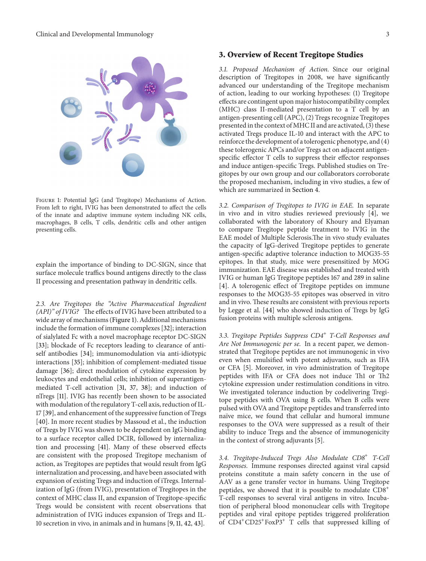

<span id="page-3-0"></span>Figure 1: Potential IgG (and Tregitope) Mechanisms of Action. From left to right, IVIG has been demonstrated to affect the cells of the innate and adaptive immune system including NK cells, macrophages, B cells, T cells, dendritic cells and other antigen presenting cells.

explain the importance of binding to DC-SIGN, since that surface molecule traffics bound antigens directly to the class II processing and presentation pathway in dendritic cells.

*2.3. Are Tregitopes the "Active Pharmaceutical Ingredient (API)" of IVIG?* The effects of IVIG have been attributed to a wide array of mechanisms [\(Figure 1\)](#page-3-0). Additional mechanisms include the formation of immune complexes [\[32](#page-6-5)]; interaction of sialylated Fc with a novel macrophage receptor DC-SIGN [\[33\]](#page-6-6); blockade of Fc receptors leading to clearance of antiself antibodies [\[34](#page-6-7)]; immunomodulation via anti-idiotypic interactions [\[35](#page-6-8)]; inhibition of complement-mediated tissue damage [\[36](#page-6-9)]; direct modulation of cytokine expression by leukocytes and endothelial cells; inhibition of superantigenmediated T-cell activation [\[31,](#page-6-4) [37,](#page-6-10) [38](#page-6-11)]; and induction of nTregs [\[11](#page-5-10)]. IVIG has recently been shown to be associated with modulation of the regulatory T-cell axis, reduction of IL-17 [\[39\]](#page-6-12), and enhancement of the suppressive function of Tregs [\[40\]](#page-6-13). In more recent studies by Massoud et al., the induction of Tregs by IVIG was shown to be dependent on IgG binding to a surface receptor called DCIR, followed by internalization and processing [\[41\]](#page-6-14). Many of these observed effects are consistent with the proposed Tregitope mechanism of action, as Tregitopes are peptides that would result from IgG internalization and processing, and have been associated with expansion of existing Tregs and induction of iTregs. Internalization of IgG (from IVIG), presentation of Tregitopes in the context of MHC class II, and expansion of Tregitope-specific Tregs would be consistent with recent observations that administration of IVIG induces expansion of Tregs and IL-10 secretion in vivo, in animals and in humans [\[9,](#page-5-8) [11,](#page-5-10) [42](#page-6-15), [43\]](#page-6-16).

#### **3. Overview of Recent Tregitope Studies**

*3.1. Proposed Mechanism of Action.* Since our original description of Tregitopes in 2008, we have significantly advanced our understanding of the Tregitope mechanism of action, leading to our working hypotheses: (1) Tregitope effects are contingent upon major histocompatibility complex (MHC) class II-mediated presentation to a T cell by an antigen-presenting cell (APC), (2) Tregs recognize Tregitopes presented in the context of MHC II and are activated, (3) these activated Tregs produce IL-10 and interact with the APC to reinforce the development of a tolerogenic phenotype, and (4) these tolerogenic APCs and/or Tregs act on adjacent antigenspecific effector T cells to suppress their effector responses and induce antigen-specific Tregs. Published studies on Tregitopes by our own group and our collaborators corroborate the proposed mechanism, including in vivo studies, a few of which are summarized in [Section 4.](#page-4-0)

*3.2. Comparison of Tregitopes to IVIG in EAE.* In separate in vivo and in vitro studies reviewed previously [\[4](#page-5-3)], we collaborated with the laboratory of Khoury and Elyaman to compare Tregitope peptide treatment to IVIG in the EAE model of Multiple Sclerosis.The in vivo study evaluates the capacity of IgG-derived Tregitope peptides to generate antigen-specific adaptive tolerance induction to MOG35-55 epitopes. In that study, mice were presensitized by MOG immunization. EAE disease was established and treated with IVIG or human IgG Tregitope peptides 167 and 289 in saline [\[4\]](#page-5-3). A tolerogenic effect of Tregitope peptides on immune responses to the MOG35-55 epitopes was observed in vitro and in vivo. These results are consistent with previous reports by Legge et al. [\[44\]](#page-6-17) who showed induction of Tregs by IgG fusion proteins with multiple sclerosis antigens.

*3.3. Tregitope Peptides Suppress CD4*<sup>+</sup> *T-Cell Responses and Are Not Immunogenic per se.* In a recent paper, we demonstrated that Tregitope peptides are not immunogenic in vivo even when emulsified with potent adjuvants, such as IFA or CFA [\[5\]](#page-5-4). Moreover, in vivo administration of Tregitope peptides with IFA or CFA does not induce Th1 or Th2 cytokine expression under restimulation conditions in vitro. We investigated tolerance induction by codelivering Tregitope peptides with OVA using B cells. When B cells were pulsed with OVA and Tregitope peptides and transferred into naïve mice, we found that cellular and humoral immune responses to the OVA were suppressed as a result of their ability to induce Tregs and the absence of immunogenicity in the context of strong adjuvants [\[5](#page-5-4)].

*3.4. Tregitope-Induced Tregs Also Modulate CD8*<sup>+</sup> *T-Cell Responses.* Immune responses directed against viral capsid proteins constitute a main safety concern in the use of AAV as a gene transfer vector in humans. Using Tregitope peptides, we showed that it is possible to modulate CD8<sup>+</sup> T-cell responses to several viral antigens in vitro. Incubation of peripheral blood mononuclear cells with Tregitope peptides and viral epitope peptides triggered proliferation of CD4<sup>+</sup>CD25<sup>+</sup>FoxP3<sup>+</sup> T cells that suppressed killing of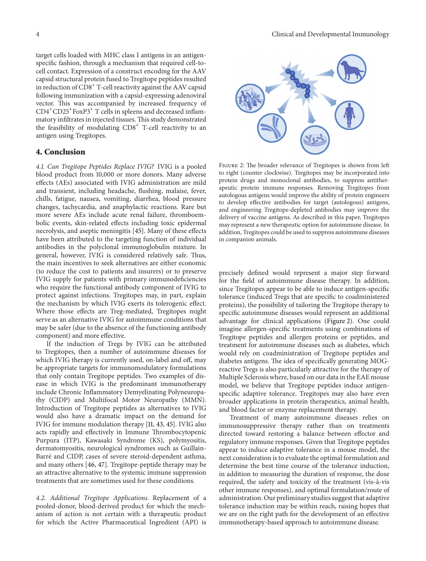target cells loaded with MHC class I antigens in an antigenspecific fashion, through a mechanism that required cell-tocell contact. Expression of a construct encoding for the AAV capsid structural protein fused to Tregitope peptides resulted in reduction of  $CD8<sup>+</sup>$  T-cell reactivity against the AAV capsid following immunization with a capsid-expressing adenoviral vector. This was accompanied by increased frequency of  $CD4^+CD25^+$ FoxP3<sup>+</sup> T cells in spleens and decreased inflammatory infiltrates in injected tissues.This study demonstrated the feasibility of modulating  $CDS<sup>+</sup>$  T-cell reactivity to an antigen using Tregitopes.

#### <span id="page-4-0"></span>**4. Conclusion**

*4.1. Can Tregitope Peptides Replace IVIG?* IVIG is a pooled blood product from 10,000 or more donors. Many adverse effects (AEs) associated with IVIG administration are mild and transient, including headache, flushing, malaise, fever, chills, fatigue, nausea, vomiting, diarrhea, blood pressure changes, tachycardia, and anaphylactic reactions. Rare but more severe AEs include acute renal failure, thromboembolic events, skin-related effects including toxic epidermal necrolysis, and aseptic meningitis [\[45](#page-6-18)]. Many of these effects have been attributed to the targeting function of individual antibodies in the polyclonal immunoglobulin mixture. In general, however, IVIG is considered relatively safe. Thus, the main incentives to seek alternatives are either economic (to reduce the cost to patients and insurers) or to preserve IVIG supply for patients with primary immunodeficiencies who require the functional antibody component of IVIG to protect against infections. Tregitopes may, in part, explain the mechanism by which IVIG exerts its tolerogenic effect. Where those effects are Treg-mediated, Tregitopes might serve as an alternative IVIG for autoimmune conditions that may be safer (due to the absence of the functioning antibody component) and more effective.

If the induction of Tregs by IVIG can be attributed to Tregitopes, then a number of autoimmune diseases for which IVIG therapy is currently used, on-label and off, may be appropriate targets for immunomodulatory formulations that only contain Tregitope peptides. Two examples of disease in which IVIG is the predominant immunotherapy include Chronic Inflammatory Demyelinating Polyneuropathy (CIDP) and Multifocal Motor Neuropathy (MMN). Introduction of Tregitope peptides as alternatives to IVIG would also have a dramatic impact on the demand for IVIG for immune modulation therapy [\[11,](#page-5-10) [43,](#page-6-16) [45\]](#page-6-18). IVIG also acts rapidly and effectively in Immune Thrombocytopenic Purpura (ITP), Kawasaki Syndrome (KS), polymyositis, dermatomyositis, neurological syndromes such as Guillain-Barré and CIDP, cases of severe steroid-dependent asthma, and many others [\[46](#page-6-19), [47\]](#page-6-20). Tregitope-peptide therapy may be an attractive alternative to the systemic immune suppression treatments that are sometimes used for these conditions.

*4.2. Additional Tregitope Applications.* Replacement of a pooled-donor, blood-derived product for which the mechanism of action is not certain with a therapeutic product for which the Active Pharmaceutical Ingredient (API) is



<span id="page-4-1"></span>Figure 2: The broader relevance of Tregitopes is shown from left to right (counter clockwise). Tregitopes may be incorporated into protein drugs and monoclonal antibodies, to suppress antitherapeutic protein immune responses. Removing Tregitopes from autologous antigens would improve the ability of protein engineers to develop effective antibodies for target (autologous) antigens, and engineering Tregitope-depleted antibodies may improve the delivery of vaccine antigens. As described in this paper, Tregitopes may represent a new therapeutic option for autoimmune disease. In addition, Tregitopes could be used to suppress autoimmune diseases in companion animals.

precisely defined would represent a major step forward for the field of autoimmune disease therapy. In addition, since Tregitopes appear to be able to induce antigen-specific tolerance (induced Tregs that are specific to coadministered proteins), the possibility of tailoring the Tregitope therapy to specific autoimmune diseases would represent an additional advantage for clinical applications [\(Figure 2\)](#page-4-1). One could imagine allergen-specific treatments using combinations of Tregitope peptides and allergen proteins or peptides, and treatment for autoimmune diseases such as diabetes, which would rely on coadministration of Tregitope peptides and diabetes antigens. The idea of specifically generating MOGreactive Tregs is also particularly attractive for the therapy of Multiple Sclerosis where, based on our data in the EAE mouse model, we believe that Tregitope peptides induce antigenspecific adaptive tolerance. Tregitopes may also have even broader applications in protein therapeutics, animal health, and blood factor or enzyme replacement therapy.

Treatment of many autoimmune diseases relies on immunosuppressive therapy rather than on treatments directed toward restoring a balance between effector and regulatory immune responses. Given that Tregitope peptides appear to induce adaptive tolerance in a mouse model, the next consideration is to evaluate the optimal formulation and determine the best time course of the tolerance induction, in addition to measuring the duration of response, the dose required, the safety and toxicity of the treatment (vis-à-vis other immune responses), and optimal formulation/route of administration. Our preliminary studies suggest that adaptive tolerance induction may be within reach, raising hopes that we are on the right path for the development of an effective immunotherapy-based approach to autoimmune disease.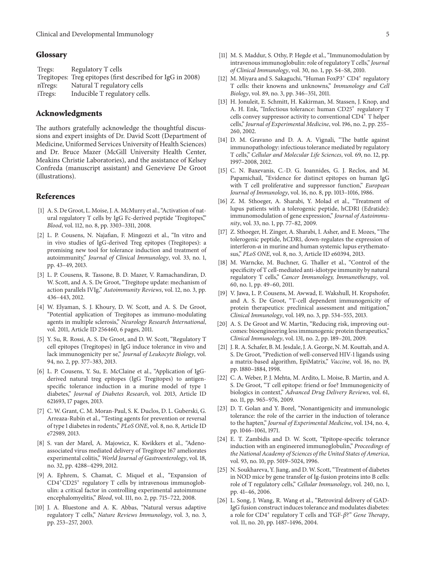#### **Glossary**

| Tregs:  | Regulatory T cells                                          |
|---------|-------------------------------------------------------------|
|         | Tregitopes: Treg epitopes (first described for IgG in 2008) |
| nTregs: | Natural T regulatory cells                                  |
| iTregs: | Inducible T regulatory cells.                               |

#### **Acknowledgments**

The authors gratefully acknowledge the thoughtful discussions and expert insights of Dr. David Scott (Department of Medicine, Uniformed Services University of Health Sciences) and Dr. Bruce Mazer (McGill University Health Center, Meakins Christie Laboratories), and the assistance of Kelsey Confreda (manuscript assistant) and Genevieve De Groot (illustrations).

#### <span id="page-5-0"></span>**References**

- <span id="page-5-1"></span>[1] A. S. De Groot, L. Moise, J. A. McMurry et al., "Activation of natural regulatory T cells by IgG Fc-derived peptide 'Tregitopes'," *Blood*, vol. 112, no. 8, pp. 3303–3311, 2008.
- <span id="page-5-2"></span>[2] L. P. Cousens, N. Najafian, F. Mingozzi et al., "In vitro and in vivo studies of IgG-derived Treg epitopes (Tregitopes): a promising new tool for tolerance induction and treatment of autoimmunity," *Journal of Clinical Immunology*, vol. 33, no. 1, pp. 43–49, 2013.
- [3] L. P. Cousens, R. Tassone, B. D. Mazer, V. Ramachandiran, D. W. Scott, and A. S. De Groot, "Tregitope update: mechanism of action parallels IVIg," *Autoimmunity Reviews*, vol. 12, no. 3, pp. 436–443, 2012.
- <span id="page-5-3"></span>[4] W. Elyaman, S. J. Khoury, D. W. Scott, and A. S. De Groot, "Potential application of Tregitopes as immuno-modulating agents in multiple sclerosis," *Neurology Research International*, vol. 2011, Article ID 256460, 6 pages, 2011.
- <span id="page-5-4"></span>[5] Y. Su, R. Rossi, A. S. De Groot, and D. W. Scott, "Regulatory T cell epitopes (Tregitopes) in IgG induce tolerance in vivo and lack immunogenicity per se," *Journal of Leukocyte Biology*, vol. 94, no. 2, pp. 377–383, 2013.
- <span id="page-5-5"></span>[6] L. P. Cousens, Y. Su, E. McClaine et al., "Application of IgGderived natural treg epitopes (IgG Tregitopes) to antigenspecific tolerance induction in a murine model of type 1 diabetes," *Journal of Diabetes Research*, vol. 2013, Article ID 621693, 17 pages, 2013.
- <span id="page-5-6"></span>[7] C. W. Grant, C. M. Moran-Paul, S. K. Duclos, D. L. Guberski, G. Arreaza-Rubín et al., "Testing agents for prevention or reversal of type 1 diabetes in rodents," *PLoS ONE*, vol. 8, no. 8, Article ID e72989, 2013.
- <span id="page-5-7"></span>[8] S. van der Marel, A. Majowicz, K. Kwikkers et al., "Adenoassociated virus mediated delivery of Tregitope 167 ameliorates experimental colitis," *World Journal of Gastroenterology*, vol. 18, no. 32, pp. 4288–4299, 2012.
- <span id="page-5-8"></span>[9] A. Ephrem, S. Chamat, C. Miquel et al., "Expansion of CD4<sup>+</sup>CD25<sup>+</sup> regulatory T cells by intravenous immunoglobulin: a critical factor in controlling experimental autoimmune encephalomyelitis," *Blood*, vol. 111, no. 2, pp. 715–722, 2008.
- <span id="page-5-9"></span>[10] J. A. Bluestone and A. K. Abbas, "Natural versus adaptive regulatory T cells," *Nature Reviews Immunology*, vol. 3, no. 3, pp. 253–257, 2003.
- <span id="page-5-10"></span>[11] M. S. Maddur, S. Othy, P. Hegde et al., "Immunomodulation by intravenous immunoglobulin: role of regulatory T cells," *Journal of Clinical Immunology*, vol. 30, no. 1, pp. S4–S8, 2010.
- <span id="page-5-11"></span>[12] M. Miyara and S. Sakaguchi, "Human FoxP3<sup>+</sup> CD4<sup>+</sup> regulatory T cells: their knowns and unknowns," *Immunology and Cell Biology*, vol. 89, no. 3, pp. 346–351, 2011.
- <span id="page-5-12"></span>[13] H. Jonuleit, E. Schmitt, H. Kakirman, M. Stassen, J. Knop, and A. H. Enk, "Infectious tolerance: human CD25<sup>+</sup> regulatory T cells convey suppressor activity to conventional CD4<sup>+</sup> T helper cells," *Journal of Experimental Medicine*, vol. 196, no. 2, pp. 255– 260, 2002.
- <span id="page-5-13"></span>[14] D. M. Gravano and D. A. A. Vignali, "The battle against immunopathology: infectious tolerance mediated by regulatory T cells," *Cellular and Molecular Life Sciences*, vol. 69, no. 12, pp. 1997–2008, 2012.
- <span id="page-5-14"></span>[15] C. N. Baxevanis, C.-D. G. Ioannides, G. J. Reclos, and M. Papamichail, "Evidence for distinct epitopes on human IgG with T cell proliferative and suppressor function," *European Journal of Immunology*, vol. 16, no. 8, pp. 1013–1016, 1986.
- <span id="page-5-15"></span>[16] Z. M. Sthoeger, A. Sharabi, Y. Molad et al., "Treatment of lupus patients with a tolerogenic peptide, hCDR1 (Edratide): immunomodulation of gene expression," *Journal of Autoimmunity*, vol. 33, no. 1, pp. 77–82, 2009.
- <span id="page-5-16"></span>[17] Z. Sthoeger, H. Zinger, A. Sharabi, I. Asher, and E. Mozes, "The tolerogenic peptide, hCDR1, down-regulates the expression of interferon- $\alpha$  in murine and human systemic lupus erythematosus," *PLoS ONE*, vol. 8, no. 3, Article ID e60394, 2013.
- <span id="page-5-17"></span>[18] M. Warncke, M. Buchner, G. Thaller et al., "Control of the specificity of T cell-mediated anti-idiotype immunity by natural regulatory T cells," *Cancer Immunology, Immunotherapy*, vol. 60, no. 1, pp. 49–60, 2011.
- <span id="page-5-18"></span>[19] V. Jawa, L. P. Cousens, M. Awwad, E. Wakshull, H. Kropshofer, and A. S. De Groot, "T-cell dependent immunogenicity of protein therapeutics: preclinical assessment and mitigation," *Clinical Immunology*, vol. 149, no. 3, pp. 534–555, 2013.
- <span id="page-5-19"></span>[20] A. S. De Groot and W. Martin, "Reducing risk, improving outcomes: bioengineering less immunogenic protein therapeutics," *Clinical Immunology*, vol. 131, no. 2, pp. 189–201, 2009.
- <span id="page-5-20"></span>[21] J. R. A. Schafer, B. M. Jesdale, J. A. George, N. M. Kouttab, and A. S. De Groot, "Prediction of well-conserved HIV-1 ligands using a matrix-based algorithm, EpiMatrix," *Vaccine*, vol. 16, no. 19, pp. 1880–1884, 1998.
- <span id="page-5-21"></span>[22] C. A. Weber, P. J. Mehta, M. Ardito, L. Moise, B. Martin, and A. S. De Groot, "T cell epitope: friend or foe? Immunogenicity of biologics in context," *Advanced Drug Delivery Reviews*, vol. 61, no. 11, pp. 965–976, 2009.
- <span id="page-5-22"></span>[23] D. T. Golan and Y. Borel, "Nonantigenicity and immunologic tolerance: the role of the carrier in the induction of tolerance to the hapten," *Journal of Experimental Medicine*, vol. 134, no. 4, pp. 1046–1061, 1971.
- <span id="page-5-23"></span>[24] E. T. Zambidis and D. W. Scott, "Epitope-specific tolerance induction with an engineered immunoglobulin," *Proceedings of the National Academy of Sciences of the United States of America*, vol. 93, no. 10, pp. 5019–5024, 1996.
- [25] N. Soukhareva, Y. Jiang, and D. W. Scott, "Treatment of diabetes in NOD mice by gene transfer of Ig-fusion proteins into B cells: role of T regulatory cells," *Cellular Immunology*, vol. 240, no. 1, pp. 41–46, 2006.
- <span id="page-5-24"></span>[26] L. Song, J. Wang, R. Wang et al., "Retroviral delivery of GAD-IgG fusion construct induces tolerance and modulates diabetes: a role for  $CD4^+$  regulatory T cells and TGF- $\beta$ ?" *Gene Therapy*, vol. 11, no. 20, pp. 1487–1496, 2004.